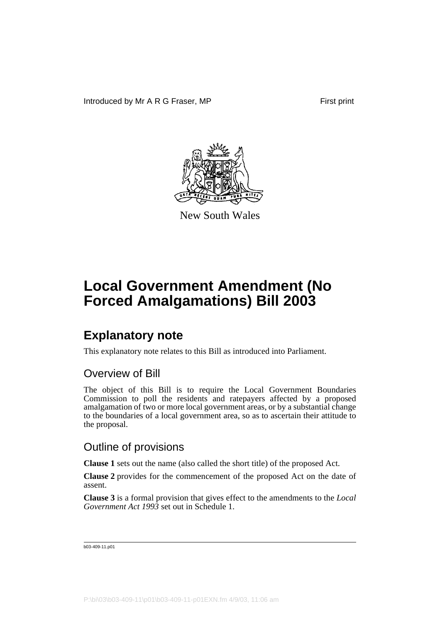

New South Wales

### **Explanatory note**

This explanatory note relates to this Bill as introduced into Parliament.

#### Overview of Bill

The object of this Bill is to require the Local Government Boundaries Commission to poll the residents and ratepayers affected by a proposed amalgamation of two or more local government areas, or by a substantial change to the boundaries of a local government area, so as to ascertain their attitude to the proposal.

### Outline of provisions

**Clause 1** sets out the name (also called the short title) of the proposed Act.

**Clause 2** provides for the commencement of the proposed Act on the date of assent.

**Clause 3** is a formal provision that gives effect to the amendments to the *Local Government Act 1993* set out in Schedule 1.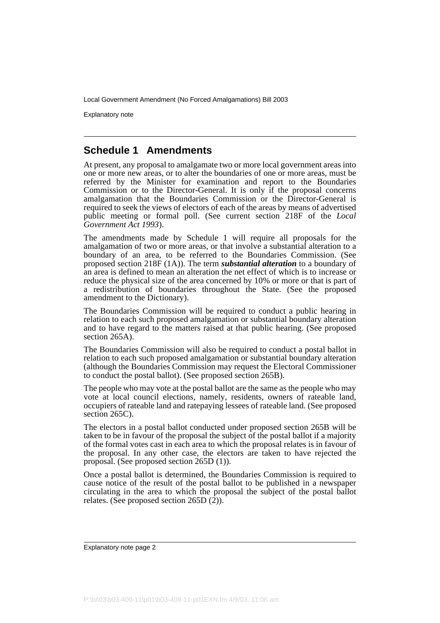Explanatory note

#### **Schedule 1 Amendments**

At present, any proposal to amalgamate two or more local government areas into one or more new areas, or to alter the boundaries of one or more areas, must be referred by the Minister for examination and report to the Boundaries Commission or to the Director-General. It is only if the proposal concerns amalgamation that the Boundaries Commission or the Director-General is required to seek the views of electors of each of the areas by means of advertised public meeting or formal poll. (See current section 218F of the *Local Government Act 1993*).

The amendments made by Schedule 1 will require all proposals for the amalgamation of two or more areas, or that involve a substantial alteration to a boundary of an area, to be referred to the Boundaries Commission. (See proposed section 218F (1A)). The term *substantial alteration* to a boundary of an area is defined to mean an alteration the net effect of which is to increase or reduce the physical size of the area concerned by 10% or more or that is part of a redistribution of boundaries throughout the State. (See the proposed amendment to the Dictionary).

The Boundaries Commission will be required to conduct a public hearing in relation to each such proposed amalgamation or substantial boundary alteration and to have regard to the matters raised at that public hearing. (See proposed section 265A).

The Boundaries Commission will also be required to conduct a postal ballot in relation to each such proposed amalgamation or substantial boundary alteration (although the Boundaries Commission may request the Electoral Commissioner to conduct the postal ballot). (See proposed section 265B).

The people who may vote at the postal ballot are the same as the people who may vote at local council elections, namely, residents, owners of rateable land, occupiers of rateable land and ratepaying lessees of rateable land. (See proposed section 265C).

The electors in a postal ballot conducted under proposed section 265B will be taken to be in favour of the proposal the subject of the postal ballot if a majority of the formal votes cast in each area to which the proposal relates is in favour of the proposal. In any other case, the electors are taken to have rejected the proposal. (See proposed section 265D (1)).

Once a postal ballot is determined, the Boundaries Commission is required to cause notice of the result of the postal ballot to be published in a newspaper circulating in the area to which the proposal the subject of the postal ballot relates. (See proposed section 265D $(\overline{2})$ ).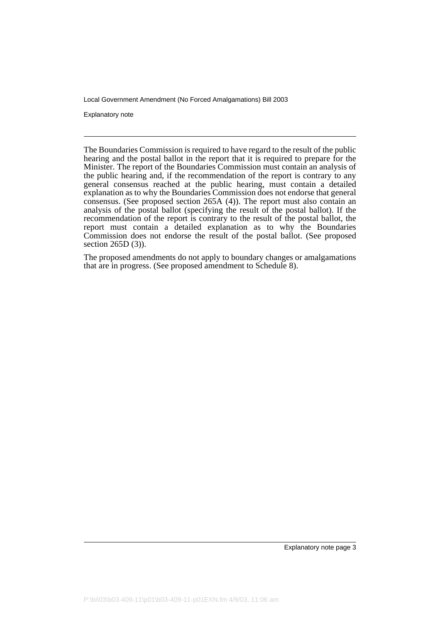Explanatory note

The Boundaries Commission is required to have regard to the result of the public hearing and the postal ballot in the report that it is required to prepare for the Minister. The report of the Boundaries Commission must contain an analysis of the public hearing and, if the recommendation of the report is contrary to any general consensus reached at the public hearing, must contain a detailed explanation as to why the Boundaries Commission does not endorse that general consensus. (See proposed section 265A (4)). The report must also contain an analysis of the postal ballot (specifying the result of the postal ballot). If the recommendation of the report is contrary to the result of the postal ballot, the report must contain a detailed explanation as to why the Boundaries Commission does not endorse the result of the postal ballot. (See proposed section 265D (3)).

The proposed amendments do not apply to boundary changes or amalgamations that are in progress. (See proposed amendment to Schedule 8).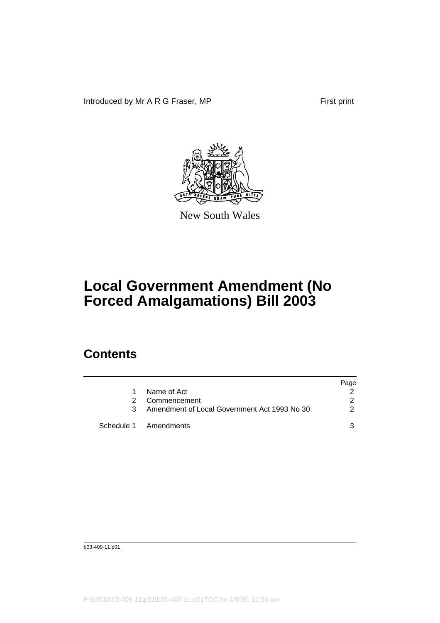Introduced by Mr A R G Fraser, MP First print



New South Wales

# **Local Government Amendment (No Forced Amalgamations) Bill 2003**

### **Contents**

|   |                                                | Page |
|---|------------------------------------------------|------|
| 1 | Name of Act                                    |      |
| 2 | Commencement                                   |      |
|   | 3 Amendment of Local Government Act 1993 No 30 |      |
|   | Schedule 1 Amendments                          |      |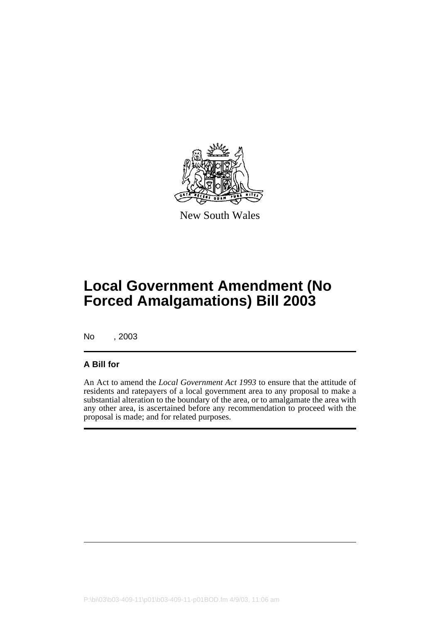

New South Wales

# **Local Government Amendment (No Forced Amalgamations) Bill 2003**

No , 2003

#### **A Bill for**

An Act to amend the *Local Government Act 1993* to ensure that the attitude of residents and ratepayers of a local government area to any proposal to make a substantial alteration to the boundary of the area, or to amalgamate the area with any other area, is ascertained before any recommendation to proceed with the proposal is made; and for related purposes.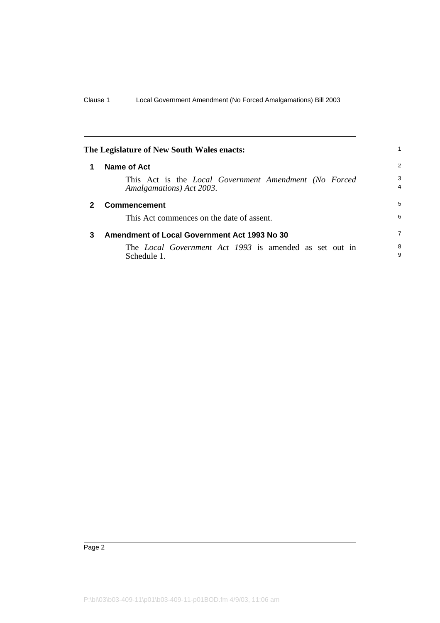<span id="page-7-2"></span><span id="page-7-1"></span><span id="page-7-0"></span>

| The Legislature of New South Wales enacts: |                                                                                   |                     |
|--------------------------------------------|-----------------------------------------------------------------------------------|---------------------|
| 1                                          | Name of Act                                                                       | 2                   |
|                                            | This Act is the Local Government Amendment (No Forced<br>Amalgamations) Act 2003. | 3<br>$\overline{4}$ |
| 2                                          | <b>Commencement</b>                                                               | 5                   |
|                                            | This Act commences on the date of assent.                                         | 6                   |
| 3                                          | Amendment of Local Government Act 1993 No 30                                      | $\overline{7}$      |
|                                            | The <i>Local Government Act 1993</i> is amended as set out in<br>Schedule 1.      | 8<br>9              |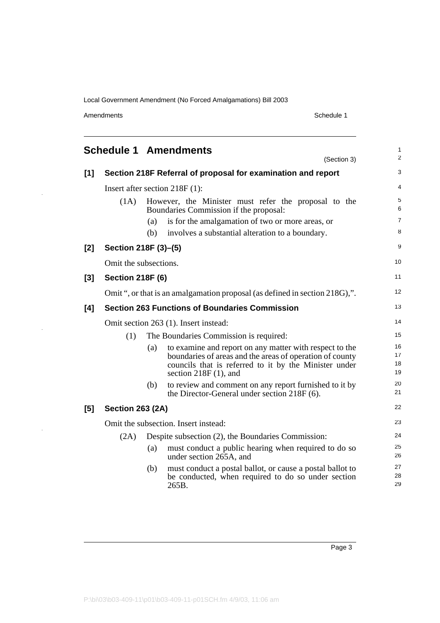Amendments Schedule 1

J.

l,

<span id="page-8-0"></span>

|       |                         |                                  | <b>Schedule 1 Amendments</b><br>(Section 3)                                                                                                                                                             | 1<br>$\overline{c}$  |  |
|-------|-------------------------|----------------------------------|---------------------------------------------------------------------------------------------------------------------------------------------------------------------------------------------------------|----------------------|--|
| [1]   |                         |                                  | Section 218F Referral of proposal for examination and report                                                                                                                                            | 3                    |  |
|       |                         | Insert after section $218F(1)$ : |                                                                                                                                                                                                         |                      |  |
|       | (1A)                    |                                  | However, the Minister must refer the proposal to the<br>Boundaries Commission if the proposal:                                                                                                          | 5<br>6               |  |
|       |                         | (a)                              | is for the amalgamation of two or more areas, or                                                                                                                                                        | 7                    |  |
|       |                         | (b)                              | involves a substantial alteration to a boundary.                                                                                                                                                        | 8                    |  |
| [2]   | Section 218F (3)-(5)    |                                  |                                                                                                                                                                                                         | 9                    |  |
|       | Omit the subsections.   |                                  |                                                                                                                                                                                                         | 10                   |  |
| $[3]$ | <b>Section 218F (6)</b> |                                  |                                                                                                                                                                                                         | 11                   |  |
|       |                         |                                  | Omit ", or that is an amalgamation proposal (as defined in section 218G),".                                                                                                                             | 12                   |  |
| [4]   |                         |                                  | <b>Section 263 Functions of Boundaries Commission</b>                                                                                                                                                   | 13                   |  |
|       |                         |                                  | Omit section 263 (1). Insert instead:                                                                                                                                                                   | 14                   |  |
|       | (1)                     |                                  | The Boundaries Commission is required:                                                                                                                                                                  | 15                   |  |
|       |                         | (a)                              | to examine and report on any matter with respect to the<br>boundaries of areas and the areas of operation of county<br>councils that is referred to it by the Minister under<br>section $218F(1)$ , and | 16<br>17<br>18<br>19 |  |
|       |                         | (b)                              | to review and comment on any report furnished to it by<br>the Director-General under section 218F (6).                                                                                                  | 20<br>21             |  |
| [5]   | <b>Section 263 (2A)</b> |                                  |                                                                                                                                                                                                         | 22                   |  |
|       |                         |                                  | Omit the subsection. Insert instead:                                                                                                                                                                    | 23                   |  |
|       | (2A)                    |                                  | Despite subsection (2), the Boundaries Commission:                                                                                                                                                      | 24                   |  |
|       |                         | (a)                              | must conduct a public hearing when required to do so<br>under section 265A, and                                                                                                                         | 25<br>26             |  |
|       |                         | (b)                              | must conduct a postal ballot, or cause a postal ballot to<br>be conducted, when required to do so under section<br>265B.                                                                                | 27<br>28<br>29       |  |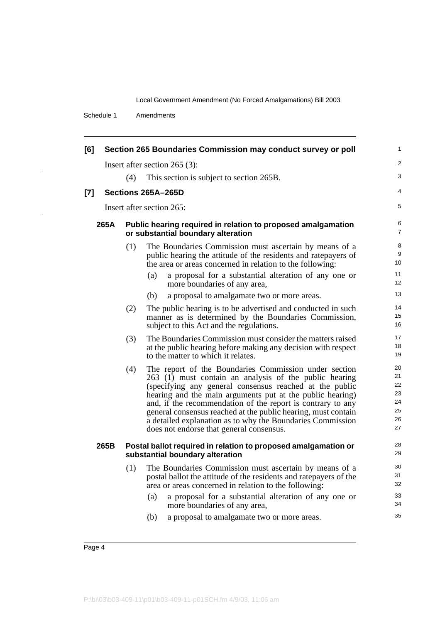Schedule 1 Amendments

J,

 $\bar{z}$ 

| [6]   |      |                                                                                                    | Section 265 Boundaries Commission may conduct survey or poll                                                                                                                                                                                                                                                                                                                                                                                                                      | 1                                            |
|-------|------|----------------------------------------------------------------------------------------------------|-----------------------------------------------------------------------------------------------------------------------------------------------------------------------------------------------------------------------------------------------------------------------------------------------------------------------------------------------------------------------------------------------------------------------------------------------------------------------------------|----------------------------------------------|
|       |      |                                                                                                    | Insert after section $265$ (3):                                                                                                                                                                                                                                                                                                                                                                                                                                                   | 2                                            |
|       |      | (4)                                                                                                | This section is subject to section 265B.                                                                                                                                                                                                                                                                                                                                                                                                                                          | 3                                            |
| $[7]$ |      |                                                                                                    | Sections 265A-265D                                                                                                                                                                                                                                                                                                                                                                                                                                                                | 4                                            |
|       |      |                                                                                                    | Insert after section 265:                                                                                                                                                                                                                                                                                                                                                                                                                                                         | 5                                            |
|       | 265A | Public hearing required in relation to proposed amalgamation<br>or substantial boundary alteration |                                                                                                                                                                                                                                                                                                                                                                                                                                                                                   |                                              |
|       |      | (1)                                                                                                | The Boundaries Commission must ascertain by means of a<br>public hearing the attitude of the residents and ratepayers of<br>the area or areas concerned in relation to the following:                                                                                                                                                                                                                                                                                             | 8<br>9<br>10                                 |
|       |      |                                                                                                    | a proposal for a substantial alteration of any one or<br>(a)<br>more boundaries of any area,                                                                                                                                                                                                                                                                                                                                                                                      | 11<br>12                                     |
|       |      |                                                                                                    | (b)<br>a proposal to amalgamate two or more areas.                                                                                                                                                                                                                                                                                                                                                                                                                                | 13                                           |
|       |      | (2)                                                                                                | The public hearing is to be advertised and conducted in such<br>manner as is determined by the Boundaries Commission,<br>subject to this Act and the regulations.                                                                                                                                                                                                                                                                                                                 | 14<br>15<br>16                               |
|       |      | (3)                                                                                                | The Boundaries Commission must consider the matters raised<br>at the public hearing before making any decision with respect<br>to the matter to which it relates.                                                                                                                                                                                                                                                                                                                 | 17<br>18<br>19                               |
|       |      | (4)                                                                                                | The report of the Boundaries Commission under section<br>263 (1) must contain an analysis of the public hearing<br>(specifying any general consensus reached at the public<br>hearing and the main arguments put at the public hearing)<br>and, if the recommendation of the report is contrary to any<br>general consensus reached at the public hearing, must contain<br>a detailed explanation as to why the Boundaries Commission<br>does not endorse that general consensus. | 20<br>21<br>22<br>23<br>24<br>25<br>26<br>27 |
|       | 265B |                                                                                                    | Postal ballot required in relation to proposed amalgamation or<br>substantial boundary alteration                                                                                                                                                                                                                                                                                                                                                                                 | 28<br>29                                     |
|       |      | (1)                                                                                                | The Boundaries Commission must ascertain by means of a<br>postal ballot the attitude of the residents and ratepayers of the<br>area or areas concerned in relation to the following:                                                                                                                                                                                                                                                                                              | 30<br>31<br>32                               |
|       |      |                                                                                                    | a proposal for a substantial alteration of any one or<br>(a)<br>more boundaries of any area,                                                                                                                                                                                                                                                                                                                                                                                      | 33<br>34                                     |
|       |      |                                                                                                    | (b)<br>a proposal to amalgamate two or more areas.                                                                                                                                                                                                                                                                                                                                                                                                                                | 35                                           |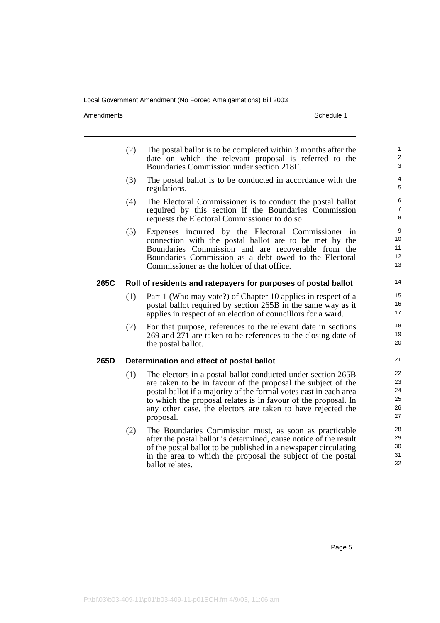Amendments Schedule 1

|      | (2)                                                                  | The postal ballot is to be completed within 3 months after the<br>date on which the relevant proposal is referred to the<br>Boundaries Commission under section 218F.                                                                                                                                                                           | $\mathbf{1}$<br>$\overline{2}$<br>3    |  |  |
|------|----------------------------------------------------------------------|-------------------------------------------------------------------------------------------------------------------------------------------------------------------------------------------------------------------------------------------------------------------------------------------------------------------------------------------------|----------------------------------------|--|--|
|      | (3)                                                                  | The postal ballot is to be conducted in accordance with the<br>regulations.                                                                                                                                                                                                                                                                     | 4<br>5                                 |  |  |
|      | (4)                                                                  | The Electoral Commissioner is to conduct the postal ballot<br>required by this section if the Boundaries Commission<br>requests the Electoral Commissioner to do so.                                                                                                                                                                            | 6<br>$\overline{7}$<br>8               |  |  |
|      | (5)                                                                  | Expenses incurred by the Electoral Commissioner in<br>connection with the postal ballot are to be met by the<br>Boundaries Commission and are recoverable from the<br>Boundaries Commission as a debt owed to the Electoral<br>Commissioner as the holder of that office.                                                                       | 9<br>10 <sup>1</sup><br>11<br>12<br>13 |  |  |
| 265C | 14<br>Roll of residents and ratepayers for purposes of postal ballot |                                                                                                                                                                                                                                                                                                                                                 |                                        |  |  |
|      | (1)                                                                  | Part 1 (Who may vote?) of Chapter 10 applies in respect of a<br>postal ballot required by section 265B in the same way as it<br>applies in respect of an election of councillors for a ward.                                                                                                                                                    | 15<br>16<br>17                         |  |  |
|      | (2)                                                                  | For that purpose, references to the relevant date in sections<br>269 and 271 are taken to be references to the closing date of<br>the postal ballot.                                                                                                                                                                                            | 18<br>19<br>20                         |  |  |
| 265D |                                                                      | Determination and effect of postal ballot                                                                                                                                                                                                                                                                                                       | 21                                     |  |  |
|      | (1)                                                                  | The electors in a postal ballot conducted under section 265B<br>are taken to be in favour of the proposal the subject of the<br>postal ballot if a majority of the formal votes cast in each area<br>to which the proposal relates is in favour of the proposal. In<br>any other case, the electors are taken to have rejected the<br>proposal. | 22<br>23<br>24<br>25<br>26<br>27       |  |  |
|      | (2)                                                                  | The Boundaries Commission must, as soon as practicable<br>after the postal ballot is determined, cause notice of the result<br>of the postal ballot to be published in a newspaper circulating<br>in the area to which the proposal the subject of the postal<br>ballot relates.                                                                | 28<br>29<br>30<br>31<br>32             |  |  |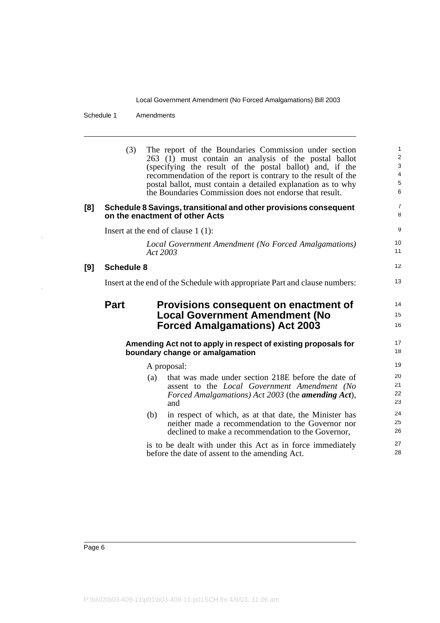Schedule 1 Amendments

l,

|     | (3)               | The report of the Boundaries Commission under section<br>263 (1) must contain an analysis of the postal ballot<br>(specifying the result of the postal ballot) and, if the<br>recommendation of the report is contrary to the result of the<br>postal ballot, must contain a detailed explanation as to why<br>the Boundaries Commission does not endorse that result. | 1<br>$\overline{\mathbf{c}}$<br>3<br>4<br>5<br>6 |
|-----|-------------------|------------------------------------------------------------------------------------------------------------------------------------------------------------------------------------------------------------------------------------------------------------------------------------------------------------------------------------------------------------------------|--------------------------------------------------|
| [8] |                   | Schedule 8 Savings, transitional and other provisions consequent<br>on the enactment of other Acts                                                                                                                                                                                                                                                                     | 7<br>8                                           |
|     |                   | Insert at the end of clause $1(1)$ :                                                                                                                                                                                                                                                                                                                                   | 9                                                |
|     |                   | Local Government Amendment (No Forced Amalgamations)<br>Act 2003                                                                                                                                                                                                                                                                                                       | 10<br>11                                         |
| [9] | <b>Schedule 8</b> |                                                                                                                                                                                                                                                                                                                                                                        | 12                                               |
|     |                   | Insert at the end of the Schedule with appropriate Part and clause numbers:                                                                                                                                                                                                                                                                                            | 13                                               |
|     | <b>Part</b>       | Provisions consequent on enactment of<br><b>Local Government Amendment (No</b><br><b>Forced Amalgamations) Act 2003</b>                                                                                                                                                                                                                                                | 14<br>15<br>16                                   |
|     |                   | Amending Act not to apply in respect of existing proposals for<br>boundary change or amalgamation                                                                                                                                                                                                                                                                      | 17<br>18                                         |
|     |                   | A proposal:                                                                                                                                                                                                                                                                                                                                                            | 19                                               |
|     |                   | that was made under section 218E before the date of<br>(a)<br>assent to the Local Government Amendment (No<br>Forced Amalgamations) Act 2003 (the <b>amending Act</b> ),<br>and                                                                                                                                                                                        | 20<br>21<br>22<br>23                             |
|     |                   | (b)<br>in respect of which, as at that date, the Minister has<br>neither made a recommendation to the Governor nor<br>declined to make a recommendation to the Governor,                                                                                                                                                                                               | 24<br>25<br>26                                   |
|     |                   | is to be dealt with under this Act as in force immediately<br>before the date of assent to the amending Act.                                                                                                                                                                                                                                                           | 27<br>28                                         |